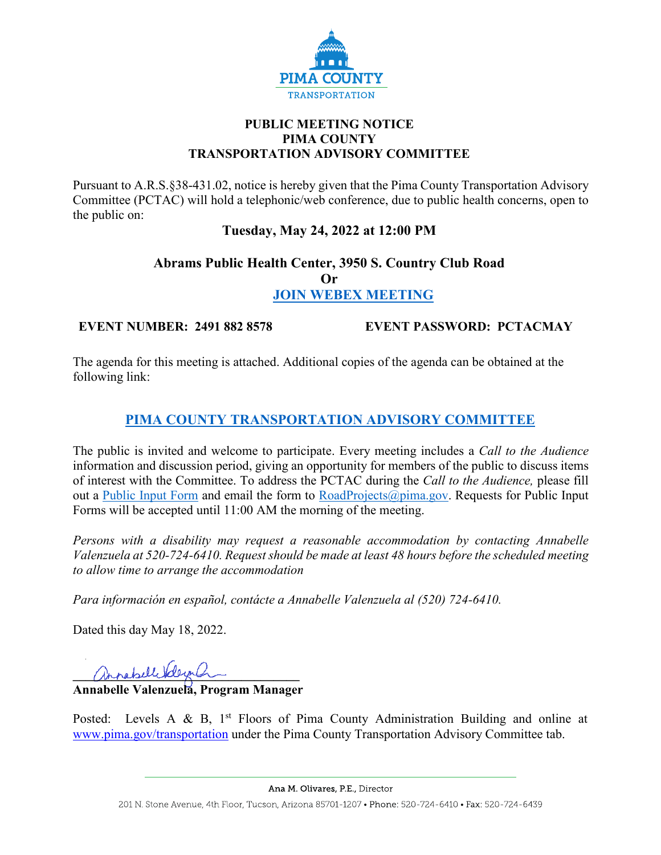

### **PUBLIC MEETING NOTICE PIMA COUNTY TRANSPORTATION ADVISORY COMMITTEE**

Pursuant to A.R.S.§38-431.02, notice is hereby given that the Pima County Transportation Advisory Committee (PCTAC) will hold a telephonic/web conference, due to public health concerns, open to the public on:

## **Tuesday, May 24, 2022 at 12:00 PM**

# **Abrams Public Health Center, 3950 S. Country Club Road Or [JOIN WEBEX MEETING](https://pimacounty.webex.com/webappng/sites/pimacounty/dashboard?siteurl=pimacounty)**

**EVENT NUMBER: 2491 882 8578 EVENT PASSWORD: PCTACMAY**

The agenda for this meeting is attached. Additional copies of the agenda can be obtained at the following link:

# **[PIMA COUNTY TRANSPORTATION ADVISORY COMMITTEE](https://webcms.pima.gov/cms/One.aspx?portalId=169&pageId=355530)**

The public is invited and welcome to participate. Every meeting includes a *Call to the Audience*  information and discussion period, giving an opportunity for members of the public to discuss items of interest with the Committee. To address the PCTAC during the *Call to the Audience,* please fill out a [Public Input Form](https://webcms.pima.gov/UserFiles/Servers/Server_6/File/Government/Transportation/TransportationAdvisoryCommittee/PCTAC_Speaker_Card.pdf) and email the form to [RoadProjects@pima.gov.](mailto:RoadProjects@pima.gov) Requests for Public Input Forms will be accepted until 11:00 AM the morning of the meeting.

*Persons with a disability may request a reasonable accommodation by contacting Annabelle Valenzuela at 520-724-6410. Request should be made at least 48 hours before the scheduled meeting to allow time to arrange the accommodation*

*Para información en español, contácte a Annabelle Valenzuela al (520) 724-6410.*

Dated this day May 18, 2022.

annabelle belezanden

**Annabelle Valenzuela, Program Manager** 

Posted: Levels A & B,  $1<sup>st</sup>$  Floors of Pima County Administration Building and online at [www.pima.gov/transportation](http://www.pima.gov/transportation) under the Pima County Transportation Advisory Committee tab.